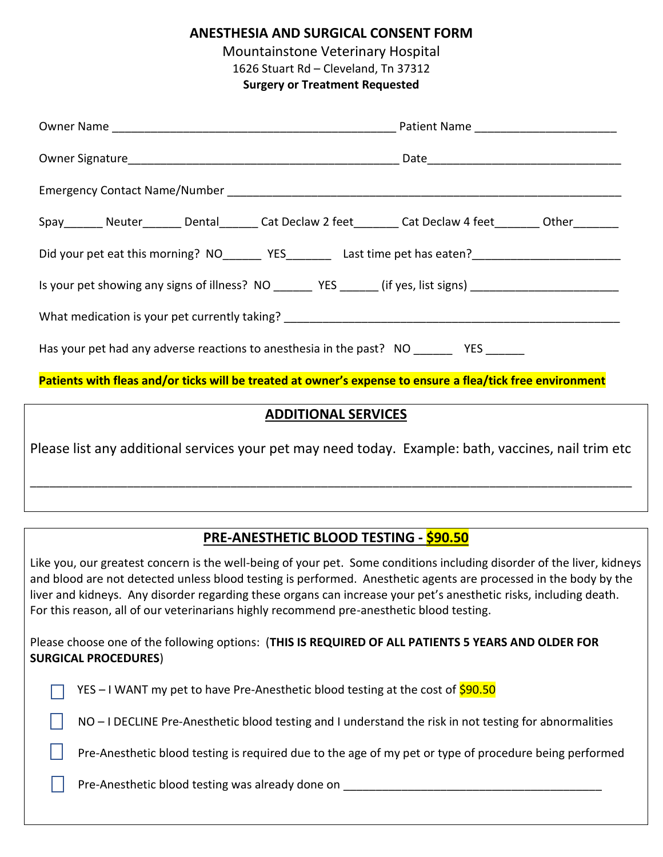**ANESTHESIA AND SURGICAL CONSENT FORM**

Mountainstone Veterinary Hospital

1626 Stuart Rd – Cleveland, Tn 37312

**Surgery or Treatment Requested**

| Spay Neuter Dental Cat Declaw 2 feet Cat Declaw 4 feet Other                                                  |  |
|---------------------------------------------------------------------------------------------------------------|--|
|                                                                                                               |  |
| Is your pet showing any signs of illness? NO _______ YES ______ (if yes, list signs) ________________________ |  |
|                                                                                                               |  |
| Has your pet had any adverse reactions to anesthesia in the past? NO __________ YES _______                   |  |
| Patients with fleas and/or ticks will be treated at owner's expense to ensure a flea/tick free environment    |  |

#### **ADDITIONAL SERVICES**

Please list any additional services your pet may need today. Example: bath, vaccines, nail trim etc

\_\_\_\_\_\_\_\_\_\_\_\_\_\_\_\_\_\_\_\_\_\_\_\_\_\_\_\_\_\_\_\_\_\_\_\_\_\_\_\_\_\_\_\_\_\_\_\_\_\_\_\_\_\_\_\_\_\_\_\_\_\_\_\_\_\_\_\_\_\_\_\_\_\_\_\_\_\_\_\_\_\_\_\_\_\_\_\_\_\_\_\_\_

### **PRE-ANESTHETIC BLOOD TESTING - \$90.50**

Like you, our greatest concern is the well-being of your pet. Some conditions including disorder of the liver, kidneys and blood are not detected unless blood testing is performed. Anesthetic agents are processed in the body by the liver and kidneys. Any disorder regarding these organs can increase your pet's anesthetic risks, including death. For this reason, all of our veterinarians highly recommend pre-anesthetic blood testing.

Please choose one of the following options: (**THIS IS REQUIRED OF ALL PATIENTS 5 YEARS AND OLDER FOR SURGICAL PROCEDURES**)

| <b>T</b> YES – I WANT my pet to have Pre-Anesthetic blood testing at the cost of $\frac{590.50}{ }$ |
|-----------------------------------------------------------------------------------------------------|
|-----------------------------------------------------------------------------------------------------|

NO – I DECLINE Pre-Anesthetic blood testing and I understand the risk in not testing for abnormalities

Pre-Anesthetic blood testing is required due to the age of my pet or type of procedure being performed

Pre-Anesthetic blood testing was already done on